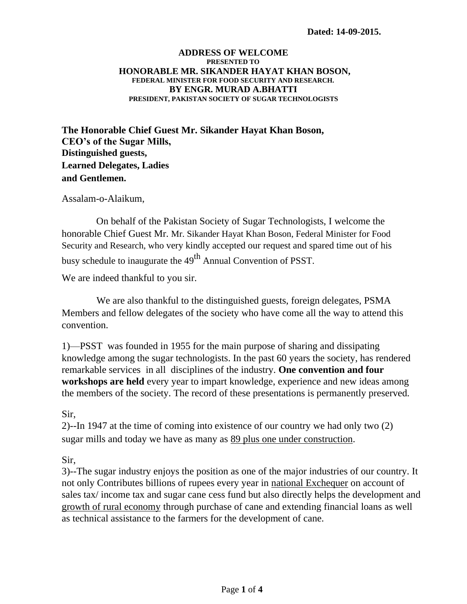## **ADDRESS OF WELCOME PRESENTED TO HONORABLE MR. SIKANDER HAYAT KHAN BOSON, FEDERAL MINISTER FOR FOOD SECURITY AND RESEARCH. BY ENGR. MURAD A.BHATTI PRESIDENT, PAKISTAN SOCIETY OF SUGAR TECHNOLOGISTS**

**The Honorable Chief Guest Mr. Sikander Hayat Khan Boson, CEO's of the Sugar Mills, Distinguished guests, Learned Delegates, Ladies and Gentlemen.**

Assalam-o-Alaikum,

On behalf of the Pakistan Society of Sugar Technologists, I welcome the honorable Chief Guest Mr. Mr. Sikander Hayat Khan Boson, Federal Minister for Food Security and Research, who very kindly accepted our request and spared time out of his busy schedule to inaugurate the 49<sup>th</sup> Annual Convention of PSST.

We are indeed thankful to you sir.

We are also thankful to the distinguished guests, foreign delegates, PSMA Members and fellow delegates of the society who have come all the way to attend this convention.

1)—PSST was founded in 1955 for the main purpose of sharing and dissipating knowledge among the sugar technologists. In the past 60 years the society, has rendered remarkable services in all disciplines of the industry. **One convention and four workshops are held** every year to impart knowledge, experience and new ideas among the members of the society. The record of these presentations is permanently preserved.

Sir,

2)--In 1947 at the time of coming into existence of our country we had only two (2) sugar mills and today we have as many as 89 plus one under construction.

Sir,

3)--The sugar industry enjoys the position as one of the major industries of our country. It not only Contributes billions of rupees every year in national Exchequer on account of sales tax/ income tax and sugar cane cess fund but also directly helps the development and growth of rural economy through purchase of cane and extending financial loans as well as technical assistance to the farmers for the development of cane.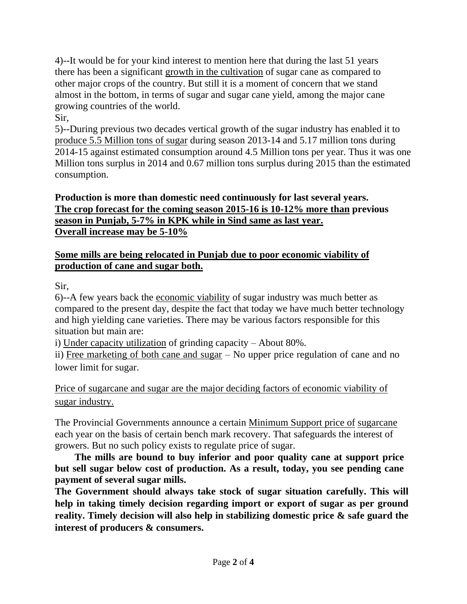4)--It would be for your kind interest to mention here that during the last 51 years there has been a significant growth in the cultivation of sugar cane as compared to other major crops of the country. But still it is a moment of concern that we stand almost in the bottom, in terms of sugar and sugar cane yield, among the major cane growing countries of the world.

Sir,

5)--During previous two decades vertical growth of the sugar industry has enabled it to produce 5.5 Million tons of sugar during season 2013-14 and 5.17 million tons during 2014-15 against estimated consumption around 4.5 Million tons per year. Thus it was one Million tons surplus in 2014 and 0.67 million tons surplus during 2015 than the estimated consumption.

## **Production is more than domestic need continuously for last several years. The crop forecast for the coming season 2015-16 is 10-12% more than previous season in Punjab, 5-7% in KPK while in Sind same as last year. Overall increase may be 5-10%**

## **Some mills are being relocated in Punjab due to poor economic viability of production of cane and sugar both.**

Sir,

6)--A few years back the economic viability of sugar industry was much better as compared to the present day, despite the fact that today we have much better technology and high yielding cane varieties. There may be various factors responsible for this situation but main are:

i) Under capacity utilization of grinding capacity – About 80%.

ii) Free marketing of both cane and sugar – No upper price regulation of cane and no lower limit for sugar.

Price of sugarcane and sugar are the major deciding factors of economic viability of sugar industry.

The Provincial Governments announce a certain Minimum Support price of sugarcane each year on the basis of certain bench mark recovery. That safeguards the interest of growers. But no such policy exists to regulate price of sugar.

**The mills are bound to buy inferior and poor quality cane at support price but sell sugar below cost of production. As a result, today, you see pending cane payment of several sugar mills.**

**The Government should always take stock of sugar situation carefully. This will help in taking timely decision regarding import or export of sugar as per ground reality. Timely decision will also help in stabilizing domestic price & safe guard the interest of producers & consumers.**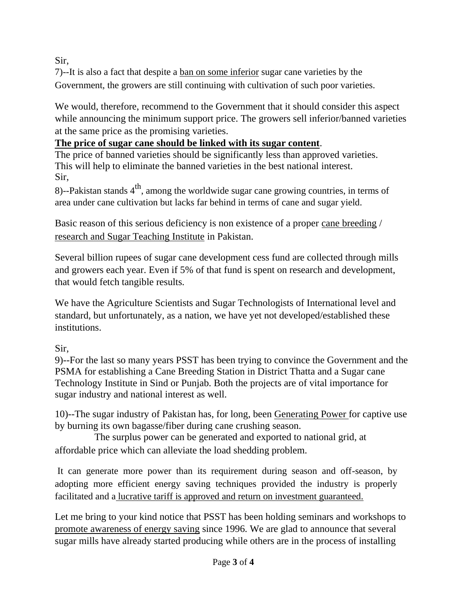Sir,

7)--It is also a fact that despite a ban on some inferior sugar cane varieties by the Government, the growers are still continuing with cultivation of such poor varieties.

We would, therefore, recommend to the Government that it should consider this aspect while announcing the minimum support price. The growers sell inferior/banned varieties at the same price as the promising varieties.

## **The price of sugar cane should be linked with its sugar content**.

The price of banned varieties should be significantly less than approved varieties. This will help to eliminate the banned varieties in the best national interest. Sir,

8)--Pakistan stands  $4<sup>th</sup>$ , among the worldwide sugar cane growing countries, in terms of area under cane cultivation but lacks far behind in terms of cane and sugar yield.

Basic reason of this serious deficiency is non existence of a proper cane breeding / research and Sugar Teaching Institute in Pakistan.

Several billion rupees of sugar cane development cess fund are collected through mills and growers each year. Even if 5% of that fund is spent on research and development, that would fetch tangible results.

We have the Agriculture Scientists and Sugar Technologists of International level and standard, but unfortunately, as a nation, we have yet not developed/established these institutions.

Sir,

9)--For the last so many years PSST has been trying to convince the Government and the PSMA for establishing a Cane Breeding Station in District Thatta and a Sugar cane Technology Institute in Sind or Punjab. Both the projects are of vital importance for sugar industry and national interest as well.

10)--The sugar industry of Pakistan has, for long, been Generating Power for captive use by burning its own bagasse/fiber during cane crushing season.

The surplus power can be generated and exported to national grid, at affordable price which can alleviate the load shedding problem.

It can generate more power than its requirement during season and off-season, by adopting more efficient energy saving techniques provided the industry is properly facilitated and a lucrative tariff is approved and return on investment guaranteed.

Let me bring to your kind notice that PSST has been holding seminars and workshops to promote awareness of energy saving since 1996. We are glad to announce that several sugar mills have already started producing while others are in the process of installing